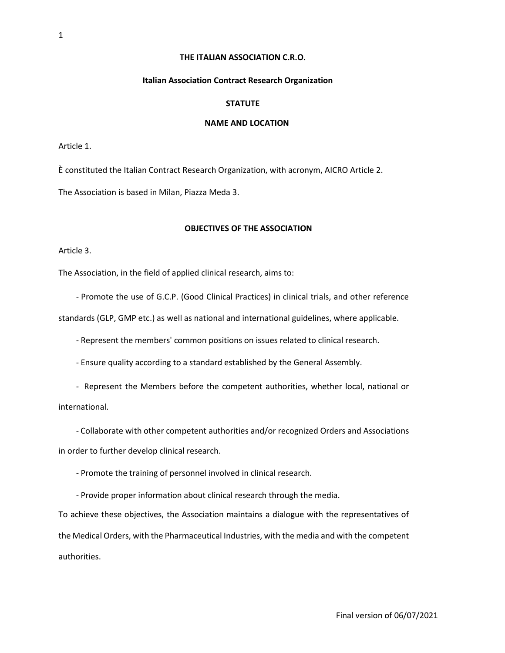## **THE ITALIAN ASSOCIATION C.R.O.**

#### **Italian Association Contract Research Organization**

#### **STATUTE**

# **NAME AND LOCATION**

Article 1.

È constituted the Italian Contract Research Organization, with acronym, AICRO Article 2. The Association is based in Milan, Piazza Meda 3.

## **OBJECTIVES OF THE ASSOCIATION**

Article 3.

The Association, in the field of applied clinical research, aims to:

- Promote the use of G.C.P. (Good Clinical Practices) in clinical trials, and other reference standards (GLP, GMP etc.) as well as national and international guidelines, where applicable.

- Represent the members' common positions on issues related to clinical research.

- Ensure quality according to a standard established by the General Assembly.

- Represent the Members before the competent authorities, whether local, national or international.

- Collaborate with other competent authorities and/or recognized Orders and Associations in order to further develop clinical research.

- Promote the training of personnel involved in clinical research.

- Provide proper information about clinical research through the media.

To achieve these objectives, the Association maintains a dialogue with the representatives of the Medical Orders, with the Pharmaceutical Industries, with the media and with the competent authorities.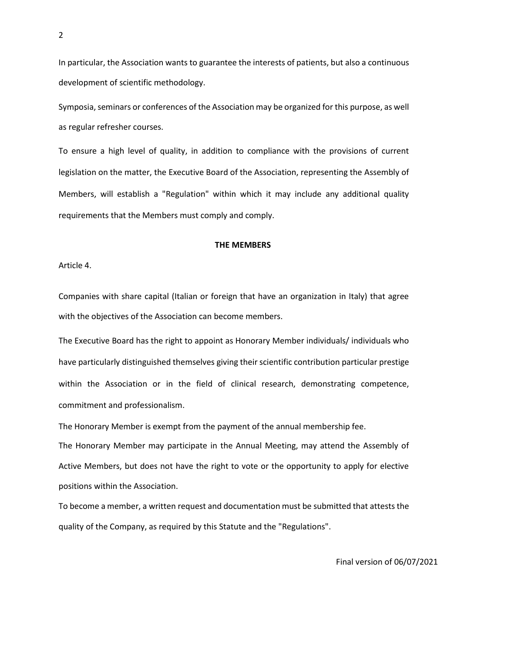In particular, the Association wants to guarantee the interests of patients, but also a continuous development of scientific methodology.

Symposia, seminars or conferences of the Association may be organized for this purpose, as well as regular refresher courses.

To ensure a high level of quality, in addition to compliance with the provisions of current legislation on the matter, the Executive Board of the Association, representing the Assembly of Members, will establish a "Regulation" within which it may include any additional quality requirements that the Members must comply and comply.

#### **THE MEMBERS**

Article 4.

Companies with share capital (Italian or foreign that have an organization in Italy) that agree with the objectives of the Association can become members.

The Executive Board has the right to appoint as Honorary Member individuals/ individuals who have particularly distinguished themselves giving their scientific contribution particular prestige within the Association or in the field of clinical research, demonstrating competence, commitment and professionalism.

The Honorary Member is exempt from the payment of the annual membership fee.

The Honorary Member may participate in the Annual Meeting, may attend the Assembly of Active Members, but does not have the right to vote or the opportunity to apply for elective positions within the Association.

To become a member, a written request and documentation must be submitted that attests the quality of the Company, as required by this Statute and the "Regulations".

Final version of 06/07/2021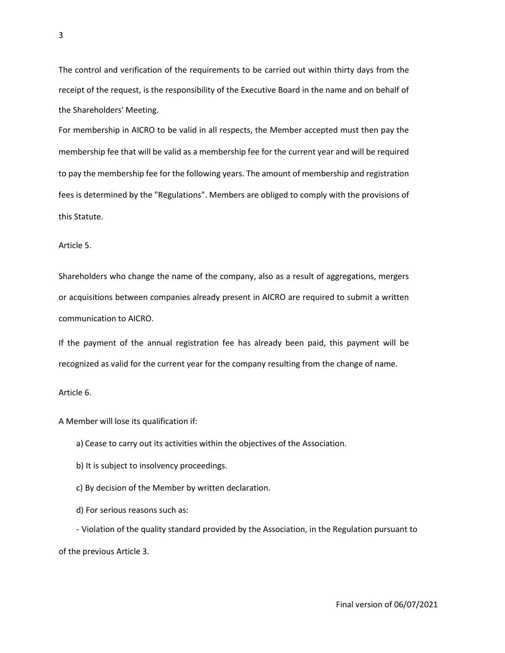The control and verification of the requirements to be carried out within thirty days from the receipt of the request, is the responsibility of the Executive Board in the name and on behalf of the Shareholders' Meeting.

For membership in AICRO to be valid in all respects, the Member accepted must then pay the membership fee that will be valid as a membership fee for the current year and will be required to pay the membership fee for the following years. The amount of membership and registration fees is determined by the "Regulations". Members are obliged to comply with the provisions of this Statute.

Article 5.

Shareholders who change the name of the company, also as a result of aggregations, mergers or acquisitions between companies already present in AICRO are required to submit a written communication to AICRO.

If the payment of the annual registration fee has already been paid, this payment will be recognized as valid for the current year for the company resulting from the change of name.

Article 6.

A Member will lose its qualification if:

a) Cease to carry out its activities within the objectives of the Association.

b) It is subject to insolvency proceedings.

c) By decision of the Member by written declaration.

d) For serious reasons such as:

- Violation of the quality standard provided by the Association, in the Regulation pursuant to of the previous Article 3.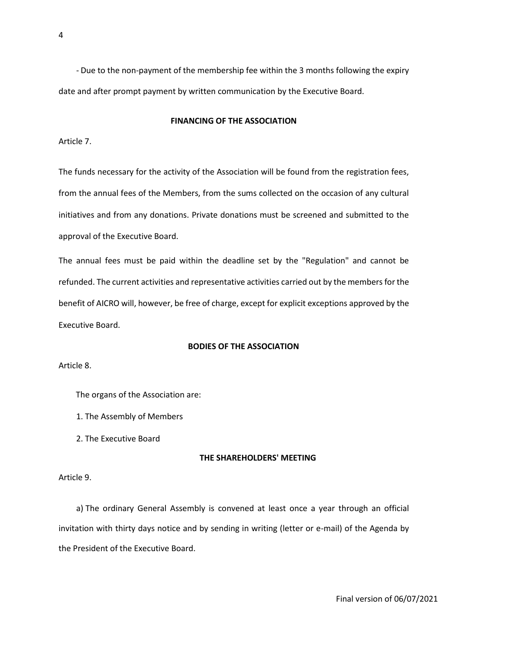- Due to the non-payment of the membership fee within the 3 months following the expiry date and after prompt payment by written communication by the Executive Board.

#### **FINANCING OF THE ASSOCIATION**

Article 7.

The funds necessary for the activity of the Association will be found from the registration fees, from the annual fees of the Members, from the sums collected on the occasion of any cultural initiatives and from any donations. Private donations must be screened and submitted to the approval of the Executive Board.

The annual fees must be paid within the deadline set by the "Regulation" and cannot be refunded. The current activities and representative activities carried out by the members for the benefit of AICRO will, however, be free of charge, except for explicit exceptions approved by the Executive Board.

## **BODIES OF THE ASSOCIATION**

Article 8.

The organs of the Association are:

1. The Assembly of Members

2. The Executive Board

## **THE SHAREHOLDERS' MEETING**

Article 9.

a) The ordinary General Assembly is convened at least once a year through an official invitation with thirty days notice and by sending in writing (letter or e-mail) of the Agenda by the President of the Executive Board.

Final version of 06/07/2021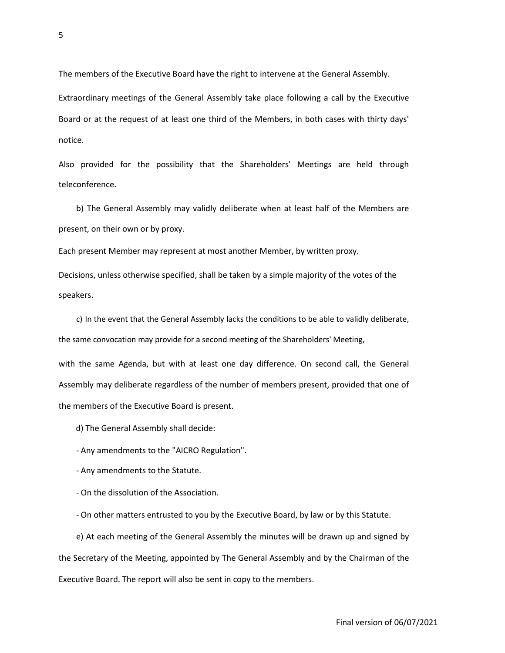The members of the Executive Board have the right to intervene at the General Assembly.

Extraordinary meetings of the General Assembly take place following a call by the Executive Board or at the request of at least one third of the Members, in both cases with thirty days' notice.

Also provided for the possibility that the Shareholders' Meetings are held through teleconference.

b) The General Assembly may validly deliberate when at least half of the Members are present, on their own or by proxy.

Each present Member may represent at most another Member, by written proxy.

Decisions, unless otherwise specified, shall be taken by a simple majority of the votes of the speakers.

c) In the event that the General Assembly lacks the conditions to be able to validly deliberate, the same convocation may provide for a second meeting of the Shareholders' Meeting, with the same Agenda, but with at least one day difference. On second call, the General Assembly may deliberate regardless of the number of members present, provided that one of the members of the Executive Board is present.

d) The General Assembly shall decide:

- Any amendments to the "AICRO Regulation".

- Any amendments to the Statute.

- On the dissolution of the Association.

- On other matters entrusted to you by the Executive Board, by law or by this Statute.

e) At each meeting of the General Assembly the minutes will be drawn up and signed by the Secretary of the Meeting, appointed by The General Assembly and by the Chairman of the Executive Board. The report will also be sent in copy to the members.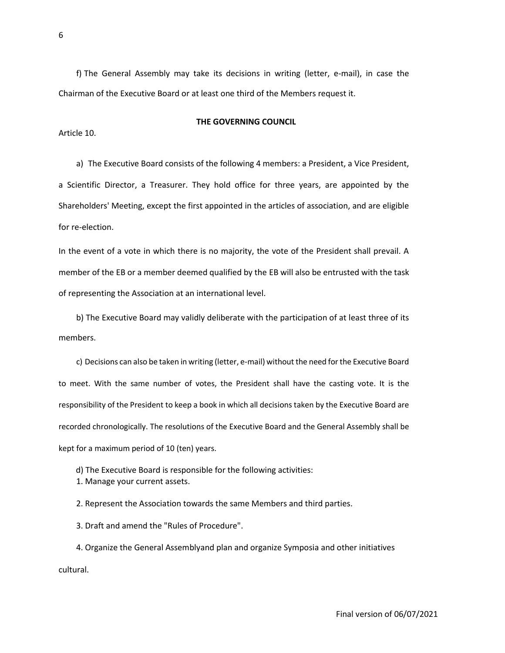f) The General Assembly may take its decisions in writing (letter, e-mail), in case the Chairman of the Executive Board or at least one third of the Members request it.

#### **THE GOVERNING COUNCIL**

Article 10.

a) The Executive Board consists of the following 4 members: a President, a Vice President, a Scientific Director, a Treasurer. They hold office for three years, are appointed by the Shareholders' Meeting, except the first appointed in the articles of association, and are eligible for re-election.

In the event of a vote in which there is no majority, the vote of the President shall prevail. A member of the EB or a member deemed qualified by the EB will also be entrusted with the task of representing the Association at an international level.

b) The Executive Board may validly deliberate with the participation of at least three of its members.

c) Decisions can also be taken in writing (letter, e-mail) without the need for the Executive Board to meet. With the same number of votes, the President shall have the casting vote. It is the responsibility of the President to keep a book in which all decisions taken by the Executive Board are recorded chronologically. The resolutions of the Executive Board and the General Assembly shall be kept for a maximum period of 10 (ten) years.

d) The Executive Board is responsible for the following activities:

1. Manage your current assets.

2. Represent the Association towards the same Members and third parties.

3. Draft and amend the "Rules of Procedure".

4. Organize the General Assemblyand plan and organize Symposia and other initiatives cultural.